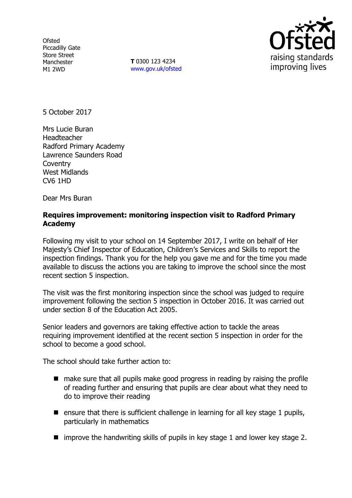**Ofsted** Piccadilly Gate Store Street Manchester M1 2WD

**T** 0300 123 4234 www.gov.uk/ofsted



5 October 2017

Mrs Lucie Buran Headteacher Radford Primary Academy Lawrence Saunders Road **Coventry** West Midlands CV6 1HD

Dear Mrs Buran

#### **Requires improvement: monitoring inspection visit to Radford Primary Academy**

Following my visit to your school on 14 September 2017, I write on behalf of Her Majesty's Chief Inspector of Education, Children's Services and Skills to report the inspection findings. Thank you for the help you gave me and for the time you made available to discuss the actions you are taking to improve the school since the most recent section 5 inspection.

The visit was the first monitoring inspection since the school was judged to require improvement following the section 5 inspection in October 2016. It was carried out under section 8 of the Education Act 2005.

Senior leaders and governors are taking effective action to tackle the areas requiring improvement identified at the recent section 5 inspection in order for the school to become a good school.

The school should take further action to:

- make sure that all pupils make good progress in reading by raising the profile of reading further and ensuring that pupils are clear about what they need to do to improve their reading
- **E** ensure that there is sufficient challenge in learning for all key stage 1 pupils, particularly in mathematics
- $\blacksquare$  improve the handwriting skills of pupils in key stage 1 and lower key stage 2.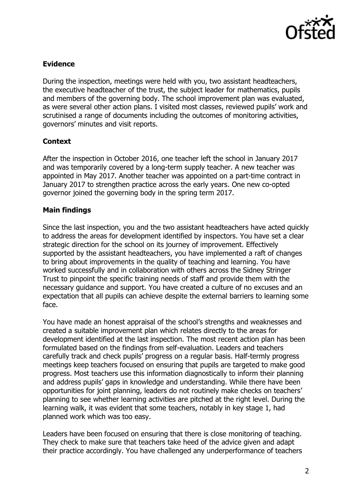

### **Evidence**

During the inspection, meetings were held with you, two assistant headteachers, the executive headteacher of the trust, the subject leader for mathematics, pupils and members of the governing body. The school improvement plan was evaluated, as were several other action plans. I visited most classes, reviewed pupils' work and scrutinised a range of documents including the outcomes of monitoring activities, governors' minutes and visit reports.

# **Context**

After the inspection in October 2016, one teacher left the school in January 2017 and was temporarily covered by a long-term supply teacher. A new teacher was appointed in May 2017. Another teacher was appointed on a part-time contract in January 2017 to strengthen practice across the early years. One new co-opted governor joined the governing body in the spring term 2017.

# **Main findings**

Since the last inspection, you and the two assistant headteachers have acted quickly to address the areas for development identified by inspectors. You have set a clear strategic direction for the school on its journey of improvement. Effectively supported by the assistant headteachers, you have implemented a raft of changes to bring about improvements in the quality of teaching and learning. You have worked successfully and in collaboration with others across the Sidney Stringer Trust to pinpoint the specific training needs of staff and provide them with the necessary guidance and support. You have created a culture of no excuses and an expectation that all pupils can achieve despite the external barriers to learning some face.

You have made an honest appraisal of the school's strengths and weaknesses and created a suitable improvement plan which relates directly to the areas for development identified at the last inspection. The most recent action plan has been formulated based on the findings from self-evaluation. Leaders and teachers carefully track and check pupils' progress on a regular basis. Half-termly progress meetings keep teachers focused on ensuring that pupils are targeted to make good progress. Most teachers use this information diagnostically to inform their planning and address pupils' gaps in knowledge and understanding. While there have been opportunities for joint planning, leaders do not routinely make checks on teachers' planning to see whether learning activities are pitched at the right level. During the learning walk, it was evident that some teachers, notably in key stage 1, had planned work which was too easy.

Leaders have been focused on ensuring that there is close monitoring of teaching. They check to make sure that teachers take heed of the advice given and adapt their practice accordingly. You have challenged any underperformance of teachers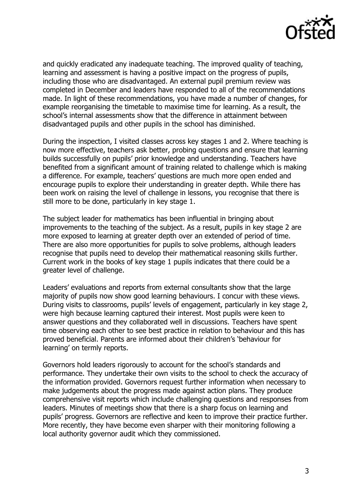

and quickly eradicated any inadequate teaching. The improved quality of teaching, learning and assessment is having a positive impact on the progress of pupils, including those who are disadvantaged. An external pupil premium review was completed in December and leaders have responded to all of the recommendations made. In light of these recommendations, you have made a number of changes, for example reorganising the timetable to maximise time for learning. As a result, the school's internal assessments show that the difference in attainment between disadvantaged pupils and other pupils in the school has diminished.

During the inspection, I visited classes across key stages 1 and 2. Where teaching is now more effective, teachers ask better, probing questions and ensure that learning builds successfully on pupils' prior knowledge and understanding. Teachers have benefited from a significant amount of training related to challenge which is making a difference. For example, teachers' questions are much more open ended and encourage pupils to explore their understanding in greater depth. While there has been work on raising the level of challenge in lessons, you recognise that there is still more to be done, particularly in key stage 1.

The subject leader for mathematics has been influential in bringing about improvements to the teaching of the subject. As a result, pupils in key stage 2 are more exposed to learning at greater depth over an extended of period of time. There are also more opportunities for pupils to solve problems, although leaders recognise that pupils need to develop their mathematical reasoning skills further. Current work in the books of key stage 1 pupils indicates that there could be a greater level of challenge.

Leaders' evaluations and reports from external consultants show that the large majority of pupils now show good learning behaviours. I concur with these views. During visits to classrooms, pupils' levels of engagement, particularly in key stage 2, were high because learning captured their interest. Most pupils were keen to answer questions and they collaborated well in discussions. Teachers have spent time observing each other to see best practice in relation to behaviour and this has proved beneficial. Parents are informed about their children's 'behaviour for learning' on termly reports.

Governors hold leaders rigorously to account for the school's standards and performance. They undertake their own visits to the school to check the accuracy of the information provided. Governors request further information when necessary to make judgements about the progress made against action plans. They produce comprehensive visit reports which include challenging questions and responses from leaders. Minutes of meetings show that there is a sharp focus on learning and pupils' progress. Governors are reflective and keen to improve their practice further. More recently, they have become even sharper with their monitoring following a local authority governor audit which they commissioned.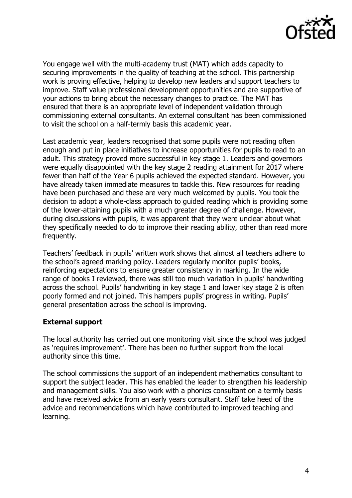

You engage well with the multi-academy trust (MAT) which adds capacity to securing improvements in the quality of teaching at the school. This partnership work is proving effective, helping to develop new leaders and support teachers to improve. Staff value professional development opportunities and are supportive of your actions to bring about the necessary changes to practice. The MAT has ensured that there is an appropriate level of independent validation through commissioning external consultants. An external consultant has been commissioned to visit the school on a half-termly basis this academic year.

Last academic year, leaders recognised that some pupils were not reading often enough and put in place initiatives to increase opportunities for pupils to read to an adult. This strategy proved more successful in key stage 1. Leaders and governors were equally disappointed with the key stage 2 reading attainment for 2017 where fewer than half of the Year 6 pupils achieved the expected standard. However, you have already taken immediate measures to tackle this. New resources for reading have been purchased and these are very much welcomed by pupils. You took the decision to adopt a whole-class approach to guided reading which is providing some of the lower-attaining pupils with a much greater degree of challenge. However, during discussions with pupils, it was apparent that they were unclear about what they specifically needed to do to improve their reading ability, other than read more frequently.

Teachers' feedback in pupils' written work shows that almost all teachers adhere to the school's agreed marking policy. Leaders regularly monitor pupils' books, reinforcing expectations to ensure greater consistency in marking. In the wide range of books I reviewed, there was still too much variation in pupils' handwriting across the school. Pupils' handwriting in key stage 1 and lower key stage 2 is often poorly formed and not joined. This hampers pupils' progress in writing. Pupils' general presentation across the school is improving.

#### **External support**

The local authority has carried out one monitoring visit since the school was judged as 'requires improvement'. There has been no further support from the local authority since this time.

The school commissions the support of an independent mathematics consultant to support the subject leader. This has enabled the leader to strengthen his leadership and management skills. You also work with a phonics consultant on a termly basis and have received advice from an early years consultant. Staff take heed of the advice and recommendations which have contributed to improved teaching and learning.